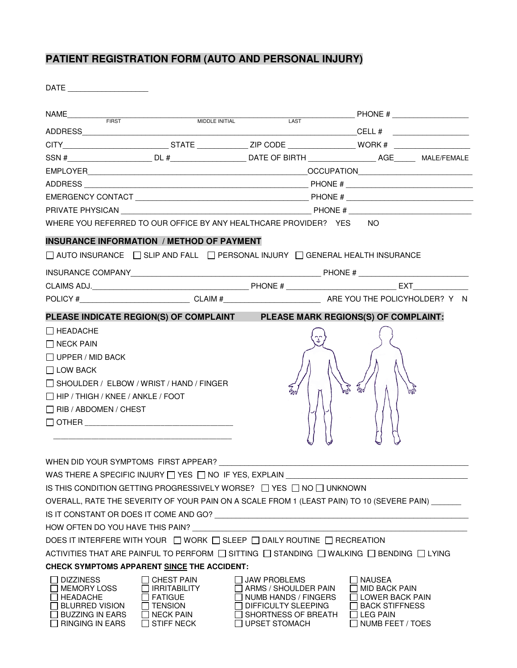## **PATIENT REGISTRATION FORM (AUTO AND PERSONAL INJURY)**

DATE \_\_\_\_\_\_\_\_\_\_\_\_\_\_\_\_\_\_\_

|                                                                             |                                                        |                                                                                    | MIDDLE INITIAL LAST DESCRIPTION OF THE MIDDLE INTIAL                                                             |
|-----------------------------------------------------------------------------|--------------------------------------------------------|------------------------------------------------------------------------------------|------------------------------------------------------------------------------------------------------------------|
|                                                                             |                                                        |                                                                                    |                                                                                                                  |
|                                                                             |                                                        |                                                                                    |                                                                                                                  |
|                                                                             |                                                        |                                                                                    |                                                                                                                  |
|                                                                             |                                                        |                                                                                    |                                                                                                                  |
|                                                                             |                                                        |                                                                                    |                                                                                                                  |
|                                                                             |                                                        |                                                                                    |                                                                                                                  |
|                                                                             |                                                        |                                                                                    |                                                                                                                  |
|                                                                             |                                                        | WHERE YOU REFERRED TO OUR OFFICE BY ANY HEALTHCARE PROVIDER? YES NO                |                                                                                                                  |
|                                                                             | <b>INSURANCE INFORMATION / METHOD OF PAYMENT</b>       |                                                                                    |                                                                                                                  |
|                                                                             |                                                        | □ AUTO INSURANCE □ SLIP AND FALL □ PERSONAL INJURY □ GENERAL HEALTH INSURANCE      |                                                                                                                  |
|                                                                             |                                                        |                                                                                    |                                                                                                                  |
|                                                                             |                                                        |                                                                                    |                                                                                                                  |
|                                                                             |                                                        |                                                                                    | POLICY # CLAIM # CLAIM # RE YOU THE POLICYHOLDER? Y N                                                            |
| PLEASE INDICATE REGION(S) OF COMPLAINT PLEASE MARK REGIONS(S) OF COMPLAINT: |                                                        |                                                                                    |                                                                                                                  |
| $\Box$ HEADACHE                                                             |                                                        |                                                                                    |                                                                                                                  |
| $\Box$ NECK PAIN                                                            |                                                        |                                                                                    |                                                                                                                  |
| $\Box$ UPPER / MID BACK                                                     |                                                        |                                                                                    |                                                                                                                  |
| $\Box$ LOW BACK                                                             |                                                        |                                                                                    |                                                                                                                  |
| $\Box$ SHOULDER / ELBOW / WRIST / HAND / FINGER                             |                                                        |                                                                                    | Em<br>$\mathcal{U}_m$                                                                                            |
| $\Box$ HIP / THIGH / KNEE / ANKLE / FOOT                                    |                                                        |                                                                                    |                                                                                                                  |
| $\Box$ RIB / ABDOMEN / CHEST                                                |                                                        |                                                                                    |                                                                                                                  |
|                                                                             |                                                        |                                                                                    |                                                                                                                  |
|                                                                             |                                                        |                                                                                    |                                                                                                                  |
|                                                                             |                                                        |                                                                                    |                                                                                                                  |
|                                                                             | WHEN DID YOUR SYMPTOMS FIRST APPEAR?                   |                                                                                    |                                                                                                                  |
|                                                                             | WAS THERE A SPECIFIC INJURY □ YES □ NO IF YES, EXPLAIN |                                                                                    |                                                                                                                  |
|                                                                             |                                                        | IS THIS CONDITION GETTING PROGRESSIVELY WORSE? $\Box$ YES $\Box$ NO $\Box$ UNKNOWN |                                                                                                                  |
|                                                                             |                                                        |                                                                                    | OVERALL, RATE THE SEVERITY OF YOUR PAIN ON A SCALE FROM 1 (LEAST PAIN) TO 10 (SEVERE PAIN)                       |
|                                                                             |                                                        |                                                                                    |                                                                                                                  |
|                                                                             | HOW OFTEN DO YOU HAVE THIS PAIN?                       |                                                                                    |                                                                                                                  |
|                                                                             |                                                        | DOES IT INTERFERE WITH YOUR □ WORK □ SLEEP □ DAILY ROUTINE □ RECREATION            |                                                                                                                  |
|                                                                             |                                                        |                                                                                    | ACTIVITIES THAT ARE PAINFUL TO PERFORM $\Box$ SITTING $\Box$ STANDING $\Box$ WALKING $\Box$ BENDING $\Box$ LYING |
|                                                                             | CHECK SYMPTOMS APPARENT SINCE THE ACCIDENT:            |                                                                                    |                                                                                                                  |
| <b>DIZZINESS</b><br><b>MEMORY LOSS</b>                                      | <b>CHEST PAIN</b><br><b>IRRITABILITY</b>               | $\Box$ JAW PROBLEMS<br>ARMS / SHOULDER PAIN                                        | NAUSEA<br>MID BACK PAIN                                                                                          |
| HEADACHE                                                                    | <b>FATIGUE</b>                                         | NUMB HANDS / FINGERS                                                               | LOWER BACK PAIN                                                                                                  |
| $\sqcap$ blurred vision<br>∃ BUZZING IN EARS                                | <b>TENSION</b><br><b>NECK PAIN</b>                     | DIFFICULTY SLEEPING<br>SHORTNESS OF BREATH                                         | <b>BACK STIFFNESS</b><br>$\Box$ LEG PAIN                                                                         |
| <b>RINGING IN EARS</b>                                                      | <b>STIFF NECK</b>                                      | $\Box$ UPSET STOMACH                                                               | NUMB FEET / TOES                                                                                                 |
|                                                                             |                                                        |                                                                                    |                                                                                                                  |